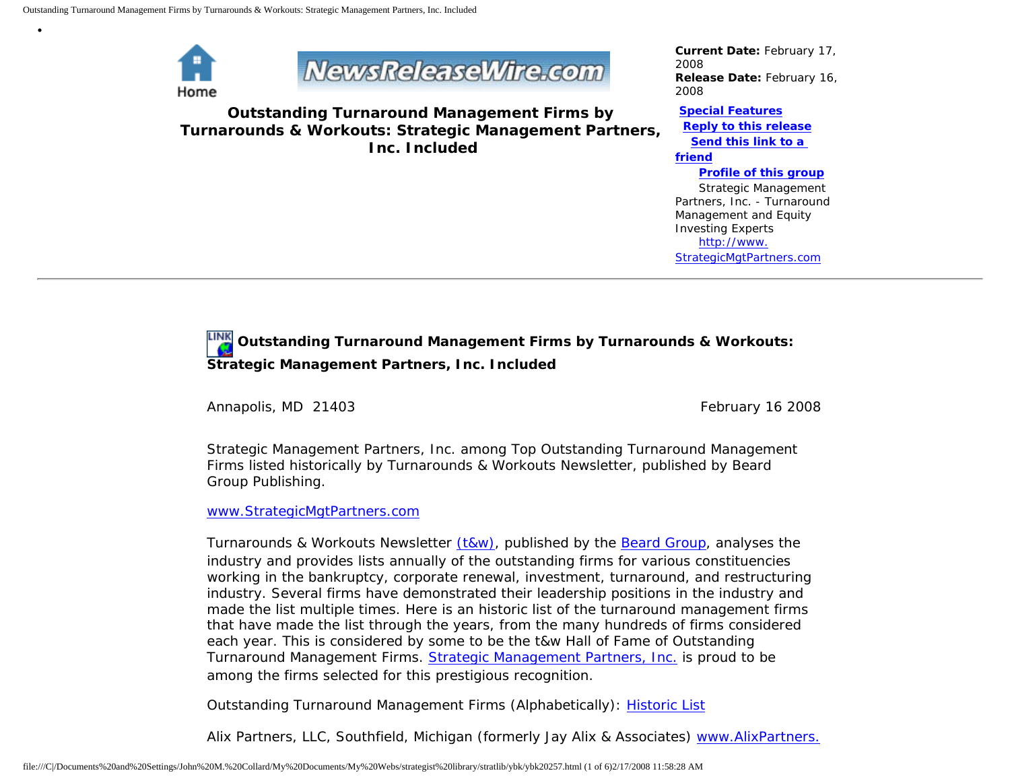

•



**Outstanding Turnaround Management Firms by Turnarounds & Workouts: Strategic Management Partners, Inc. Included**

*Current Date:* February 17, 2008 *Release Date:* February 16, 2008

**[Special Features](javascript:openlittleme() [Reply to this release](file:///C|/Documents%20and%20Settings/John%20M.%20Collard/My%20Documents/My%20Webs/strategist%20library/stratlib/ybk/default.cfm?Action=ReplyRelease&Id=20257) [Send this link to a](file:///C|/Documents%20and%20Settings/John%20M.%20Collard/My%20Documents/My%20Webs/strategist%20library/stratlib/ybk/default.cfm?Action=SendLink&SendId=20257)  [friend](file:///C|/Documents%20and%20Settings/John%20M.%20Collard/My%20Documents/My%20Webs/strategist%20library/stratlib/ybk/default.cfm?Action=SendLink&SendId=20257) [Profile of this group](file:///C|/Documents%20and%20Settings/John%20M.%20Collard/My%20Documents/My%20Webs/strategist%20library/stratlib/ybk/default.cfm?Action=Profile&ProfileId=623)** Strategic Management

Partners, Inc. - Turnaround Management and Equity Investing Experts [http://www.](http://www.strategicmgtpartners.com/) [StrategicMgtPartners.com](http://www.strategicmgtpartners.com/)

## **Outstanding Turnaround Management Firms by Turnarounds & Workouts: Strategic Management Partners, Inc. Included**

Annapolis, MD 21403 **February 16 2008** February 16 2008

Strategic Management Partners, Inc. among Top Outstanding Turnaround Management Firms listed historically by Turnarounds & Workouts Newsletter, published by Beard Group Publishing.

[www.StrategicMgtPartners.com](http://www.strategicmgtpartners.com/)

Turnarounds & Workouts Newsletter [\(t&w\)](http://www.bankrupt.com/), published by the [Beard Group,](http://www.beardgroup.com/) analyses the industry and provides lists annually of the outstanding firms for various constituencies working in the bankruptcy, corporate renewal, investment, turnaround, and restructuring industry. Several firms have demonstrated their leadership positions in the industry and made the list multiple times. Here is an historic list of the turnaround management firms that have made the list through the years, from the many hundreds of firms considered each year. This is considered by some to be the t&w Hall of Fame of Outstanding Turnaround Management Firms. [Strategic Management Partners, Inc.](http://members.aol.com/strategist/home.html) is proud to be among the firms selected for this prestigious recognition.

Outstanding Turnaround Management Firms (Alphabetically): [Historic List](http://members.aol.com/Strategist/twtop12.html)

Alix Partners, LLC, Southfield, Michigan (formerly Jay Alix & Associates) [www.AlixPartners.](http://www.alixpartners.com/)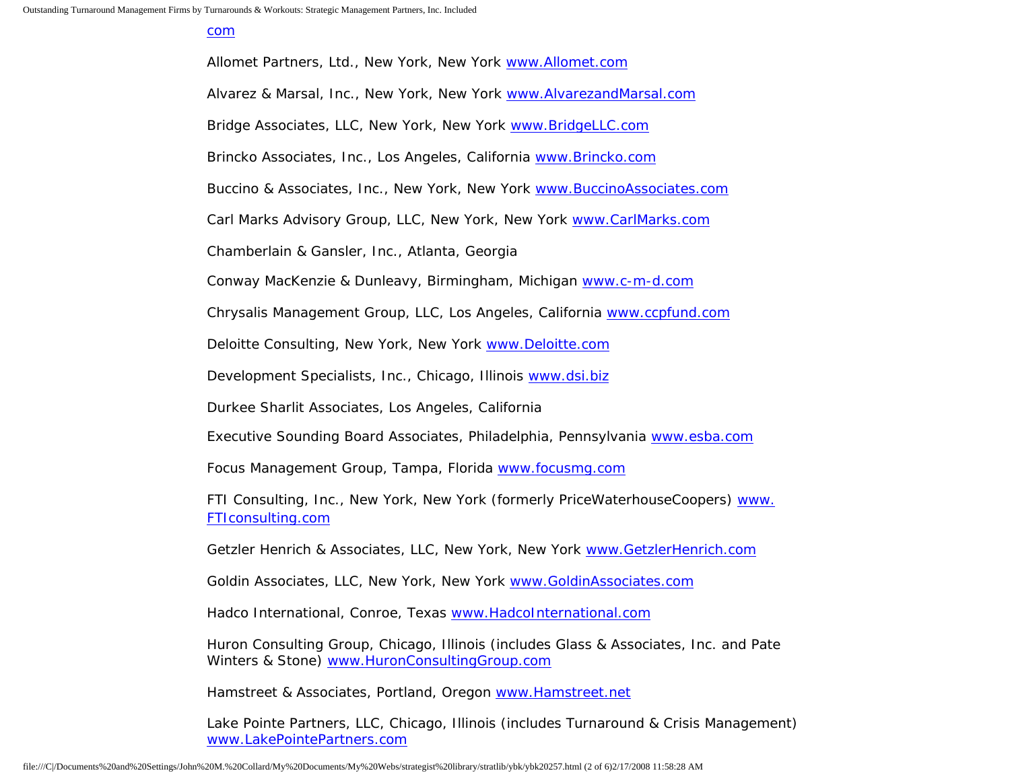[com](http://www.alixpartners.com/)

Allomet Partners, Ltd., New York, New York [www.Allomet.com](http://www.allomet.com/) Alvarez & Marsal, Inc., New York, New York [www.AlvarezandMarsal.com](http://www.alvarezandmarsal.com/) Bridge Associates, LLC, New York, New York [www.BridgeLLC.com](http://www.bridgellc.com/) Brincko Associates, Inc., Los Angeles, California [www.Brincko.com](http://www.brincko.com/) Buccino & Associates, Inc., New York, New York [www.BuccinoAssociates.com](http://www.buccinoassociates.com/) Carl Marks Advisory Group, LLC, New York, New York [www.CarlMarks.com](http://www.carlmarks.com/) Chamberlain & Gansler, Inc., Atlanta, Georgia Conway MacKenzie & Dunleavy, Birmingham, Michigan [www.c-m-d.com](http://www.c-m-d.com/) Chrysalis Management Group, LLC, Los Angeles, California [www.ccpfund.com](http://www.ccpfund.com/) Deloitte Consulting, New York, New York [www.Deloitte.com](http://www.deloitte.com/) Development Specialists, Inc., Chicago, Illinois [www.dsi.biz](http://www.dsi.biz/) Durkee Sharlit Associates, Los Angeles, California Executive Sounding Board Associates, Philadelphia, Pennsylvania [www.esba.com](http://www.esba.com/) Focus Management Group, Tampa, Florida [www.focusmg.com](http://www.focusmg.com/) FTI Consulting, Inc., New York, New York (formerly PriceWaterhouseCoopers) [www.](http://www.fticonsulting.com/) [FTIconsulting.com](http://www.fticonsulting.com/) Getzler Henrich & Associates, LLC, New York, New York [www.GetzlerHenrich.com](http://www.getzlerhenrich.com/) Goldin Associates, LLC, New York, New York [www.GoldinAssociates.com](http://www.goldinassociates.com/)

Hadco International, Conroe, Texas [www.HadcoInternational.com](http://www.hadcointernational.com/)

Huron Consulting Group, Chicago, Illinois (includes Glass & Associates, Inc. and Pate Winters & Stone) [www.HuronConsultingGroup.com](http://www.huronconsultinggroup.com/)

Hamstreet & Associates, Portland, Oregon [www.Hamstreet.net](http://www.hamstreet.net/)

Lake Pointe Partners, LLC, Chicago, Illinois (includes Turnaround & Crisis Management) [www.LakePointePartners.com](http://www.lakepointepartners.com/)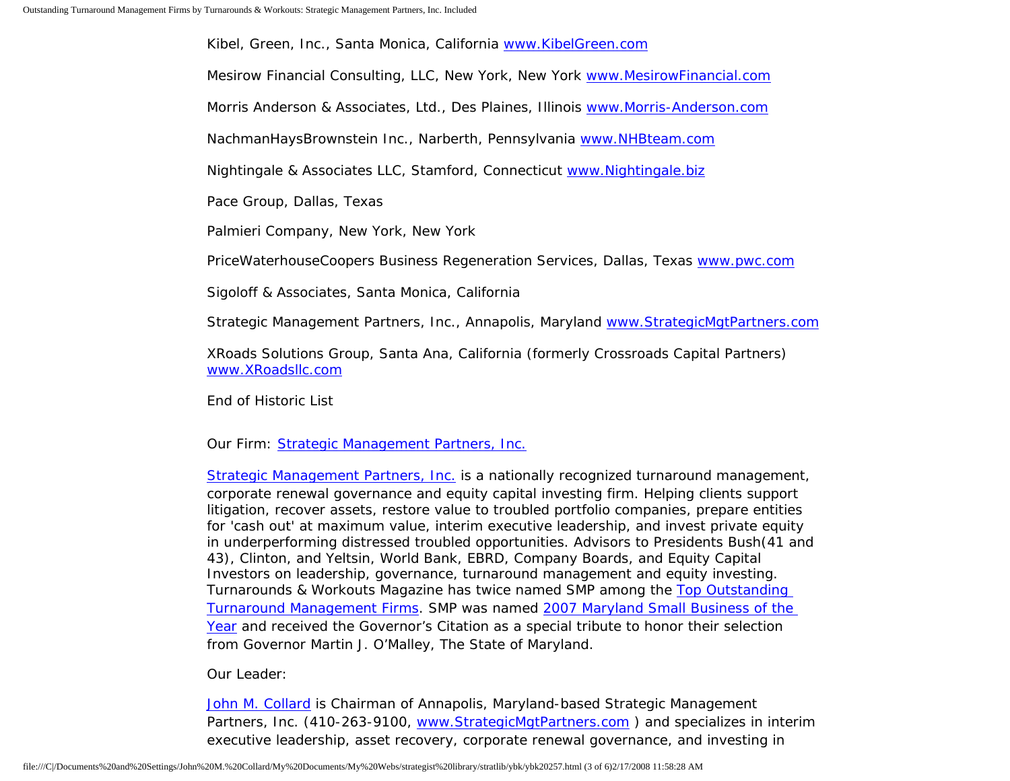Kibel, Green, Inc., Santa Monica, California [www.KibelGreen.com](http://www.kibelgreen.com/)

Mesirow Financial Consulting, LLC, New York, New York [www.MesirowFinancial.com](http://www.mesirowfinancial.com/)

Morris Anderson & Associates, Ltd., Des Plaines, Illinois [www.Morris-Anderson.com](http://www.morris-anderson.com/)

NachmanHaysBrownstein Inc., Narberth, Pennsylvania [www.NHBteam.com](http://www.nhbteam.com/)

Nightingale & Associates LLC, Stamford, Connecticut [www.Nightingale.biz](http://www.nightingale.biz/)

Pace Group, Dallas, Texas

Palmieri Company, New York, New York

PriceWaterhouseCoopers Business Regeneration Services, Dallas, Texas [www.pwc.com](http://www.pwc.com/)

Sigoloff & Associates, Santa Monica, California

Strategic Management Partners, Inc., Annapolis, Maryland [www.StrategicMgtPartners.com](http://www.strategicmgtpartners.com/)

XRoads Solutions Group, Santa Ana, California (formerly Crossroads Capital Partners) [www.XRoadsllc.com](http://www.xroadsllc.com/)

End of Historic List

## Our Firm: [Strategic Management Partners, Inc.](http://www.turnaroundmanagement.us.com/)

[Strategic Management Partners, Inc.](http://www.strategicmanagementpartnersinc.com/) is a nationally recognized turnaround management, corporate renewal governance and equity capital investing firm. Helping clients support litigation, recover assets, restore value to troubled portfolio companies, prepare entities for 'cash out' at maximum value, interim executive leadership, and invest private equity in underperforming distressed troubled opportunities. Advisors to Presidents Bush(41 and 43), Clinton, and Yeltsin, World Bank, EBRD, Company Boards, and Equity Capital Investors on leadership, governance, turnaround management and equity investing. Turnarounds & Workouts Magazine has twice named SMP among the [Top Outstanding](http://members.aol.com/Strategist/twtop12.html) [Turnaround Management Firms](http://members.aol.com/Strategist/twtop12.html). SMP was named [2007 Maryland Small Business of the](http://members.aol.com/Stratlib3/mccsbyr.html) [Year](http://members.aol.com/Stratlib3/mccsbyr.html) and received the Governor's Citation as a special tribute to honor their selection from Governor Martin J. O'Malley, The State of Maryland.

Our Leader:

[John M. Collard](http://www.strategistlibrary.com/) is Chairman of Annapolis, Maryland-based Strategic Management Partners, Inc. (410-263-9100, [www.StrategicMgtPartners.com](http://www.strategicmgtpartners.com/) ) and specializes in interim executive leadership, asset recovery, corporate renewal governance, and investing in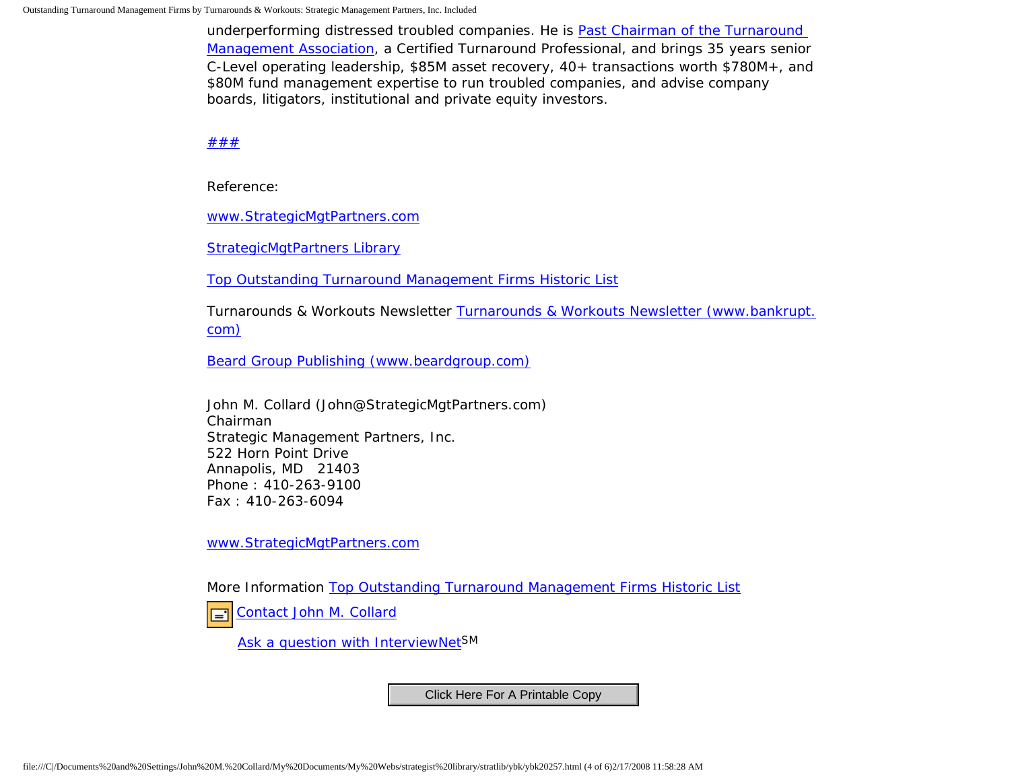underperforming distressed troubled companies. He is [Past Chairman of the Turnaround](http://members.aol.com/Strategist/pastchair.html)  [Management Association,](http://members.aol.com/Strategist/pastchair.html) a Certified Turnaround Professional, and brings 35 years senior C-Level operating leadership, \$85M asset recovery, 40+ transactions worth \$780M+, and \$80M fund management expertise to run troubled companies, and advise company boards, litigators, institutional and private equity investors.

[#](http://members.aol.com/Strategist/home.html)[#](http://members.aol.com/Strategist/sitemap.html)[#](http://members.aol.com/Strategist/urllist.txt)

Reference:

[www.StrategicMgtPartners.com](http://www.strategicmgtpartners.com/)

[StrategicMgtPartners Library](http://members.aol.com/stratlib3/libindx.html)

[Top Outstanding Turnaround Management Firms Historic List](http://members.aol.com/Strategist/twtop12.html)

Turnarounds & Workouts Newsletter [Turnarounds & Workouts Newsletter \(www.bankrupt.](http://www.bankrupt.com/) [com\)](http://www.bankrupt.com/)

[Beard Group Publishing \(www.beardgroup.com\)](http://www.beardgroup.com/)

John M. Collard (John@StrategicMgtPartners.com) Chairman Strategic Management Partners, Inc. 522 Horn Point Drive Annapolis, MD 21403 Phone : 410-263-9100 Fax : 410-263-6094

[www.StrategicMgtPartners.com](http://www.strategicmgtpartners.com/)

More Information [Top Outstanding Turnaround Management Firms Historic List](http://members.aol.com/Strategist/twtop12.html)

[Contact John M. Collard](http://www.expertclick.com/expertClick/contact/default.cfm?Action=ContactExpert&GroupID=1016) ।≡1

[Ask a question with InterviewNetS](http://www.expertclick.com/expertClick/contact/default.cfm?GroupID=1016)M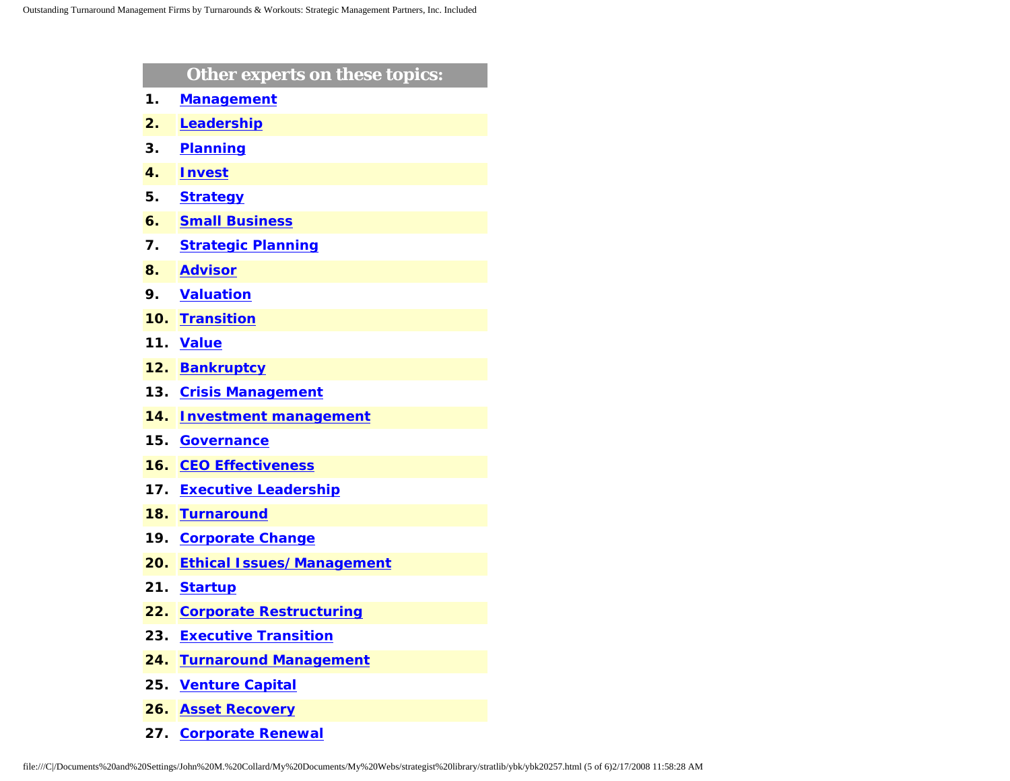| Other experts on these topics:   |
|----------------------------------|
| <b>Management</b>                |
| Leadership                       |
| <b>Planning</b>                  |
| <b>Invest</b>                    |
| <b>Strategy</b>                  |
| <b>Small Business</b>            |
| <b>Strategic Planning</b>        |
| <b>Advisor</b>                   |
| <b>Valuation</b>                 |
| <b>Transition</b>                |
| <b>Value</b>                     |
| <b>Bankruptcy</b>                |
| <b>Crisis Management</b>         |
| <b>Investment management</b>     |
| <b>Governance</b>                |
| <b>CEO Effectiveness</b>         |
| <b>Executive Leadership</b>      |
| <b>Turnaround</b>                |
| <b>Corporate Change</b>          |
| <b>Ethical Issues/Management</b> |
| <b>Startup</b>                   |
| <b>Corporate Restructuring</b>   |
| <b>Executive Transition</b>      |
| <b>Turnaround Management</b>     |
| <b>Venture Capital</b>           |
| <b>Asset Recovery</b>            |
|                                  |

**27. [Corporate Renewal](http://www.expertclick.com/search/default.cfm?SearchCriteria=Corporate Renewal)**